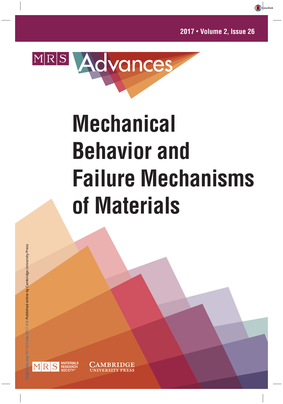

# **Mechanical Behavior and Failure Mechanisms of Materials**

adv.2017.418 Published online by Cambridge University Press https://doi.org/10.1557/adv.2017.418 Published online by Cambridge University Press

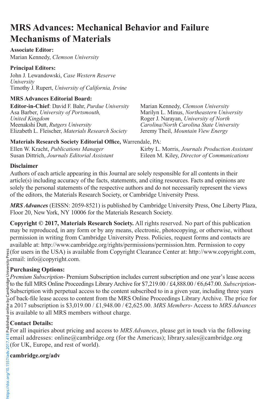### **MRS Advances: Mechanical Behavior and Failure Mechanisms of Materials**

**Associate Editor:**  Marian Kennedy, *Clemson University*

#### **Principal Editors:**

John J. Lewandowski, *Case Western Reserve University* Timothy J. Rupert, *University of California, Irvine*

#### **MRS Advances Editorial Board:**

**Editor-in-Chief**: David F. Bahr, *Purdue University* Asa Barber, *University of Portsmouth, United Kingdom* Meenakshi Dutt, *Rutgers University* Elizabeth L. Fleischer, *Materials Research Society*

Marian Kennedy, *Clemson University* Marilyn L. Minus, *Northeastern University* Roger J. Narayan, *University of North Carolina/North Carolina State University*  Jeremy Theil, *Mountain View Energy*

#### **Materials Research Society Editorial Office, Warrendale, PA:**

Ellen W. Kracht, *Publications Manager* Susan Dittrich, *Journals Editorial Assistant* Kirby L. Morris, *Journals Production Assistant* Eileen M. Kiley, *Director of Communications*

#### **Disclaimer**

Authors of each article appearing in this Journal are solely responsible for all contents in their article(s) including accuracy of the facts, statements, and citing resources. Facts and opinions are solely the personal statements of the respective authors and do not necessarily represent the views of the editors, the Materials Research Society, or Cambridge University Press.

*MRS Advances* (EISSN: 2059-8521) is published by Cambridge University Press, One Liberty Plaza, Floor 20, New York, NY 10006 for the Materials Research Society.

**Copyright © 2017, Materials Research Society.** All rights reserved. No part of this publication may be reproduced, in any form or by any means, electronic, photocopying, or otherwise, without permission in writing from Cambridge University Press. Policies, request forms and contacts are available at: http://www.cambridge.org/rights/permissions/permission.htm. Permission to copy (for users in the USA) is available from Copyright Clearance Center at: http://www.copyright.com,  $\sum_{n=1}^{\infty}$ email: info@copyright.com.

#### **Purchasing Options:**

*Premium Subscription*- Premium Subscription includes current subscription and one year's lease access g Fremum Bubscription 1 Fernant Bubberg Box 1948.<br>The full MRS Online Proceedings Library Archive for \$7,219.00 / £4,888.00 / €6,647.00. *Subscription*-Subscription with perpetual access to the content subscribed to in a given year, including three years  $\frac{1}{6}$  of back-file lease access to content from the MRS Online Proceedings Library Archive. The price for a 2017 subscription is \$3,019.00 / £1,948.00 / €2,625.00. *MRS Members*- Access to *MRS Advances*  $5$  is available to all MRS members without charge.

#### **Contact Details:**

For all inquiries about pricing and access to *MRS Advances*, please get in touch via the following email addresses: online@cambridge.org (for the Americas); library.sales@cambridge.org  $\frac{1}{6}$ (for UK, Europe, and rest of world).

#### **cambridge.org/adv**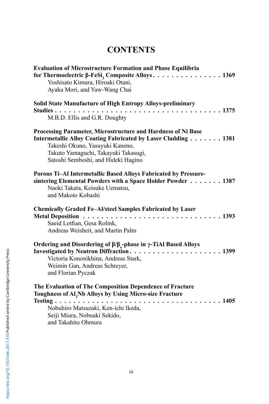## **CONTENTS**

| <b>Evaluation of Microstructure Formation and Phase Equilibria</b><br>Yoshisato Kimura, Hiroaki Otani,<br>Ayaka Mori, and Yaw-Wang Chai                                                                                                         |
|-------------------------------------------------------------------------------------------------------------------------------------------------------------------------------------------------------------------------------------------------|
| Solid State Manufacture of High Entropy Alloys-preliminary<br>$\ldots$ 1375<br>Studies<br>M.B.D. Ellis and G.R. Doughty                                                                                                                         |
| Processing Parameter, Microstructure and Hardness of Ni Base<br>Intermetallic Alloy Coating Fabricated by Laser Cladding 1381<br>Takeshi Okuno, Yasuyuki Kaneno,<br>Takuto Yamaguchi, Takayuki Takasugi,<br>Satoshi Semboshi, and Hideki Hagino |
| Porous Ti-Al Intermetallic Based Alloys Fabricated by Pressure-<br>sintering Elemental Powders with a Space Holder Powder $\dots \dots \dots$ 1387<br>Naoki Takata, Keisuke Uematsu,<br>and Makoto Kobashi                                      |
| <b>Chemically Graded Fe-Al/steel Samples Fabricated by Laser</b><br>Saeid Lotfian, Gesa Rolink,<br>Andreas Weisheit, and Martin Palm                                                                                                            |
| Ordering and Disordering of $\beta/\beta$ -phase in $\gamma$ -TiAl Based Alloys<br>Victoria Kononikhina, Andreas Stark,<br>Weimin Gan, Andreas Schreyer,<br>and Florian Pyczak                                                                  |
| The Evaluation of The Composition Dependence of Fracture<br>Toughness of Al, Nb Alloys by Using Micro-size Fracture<br>Testing<br>Nobuhiro Matsuzaki, Ken-ichi Ikeda,<br>Seiji Miura, Nobuaki Sekido,<br>and Takahito Ohmura                    |